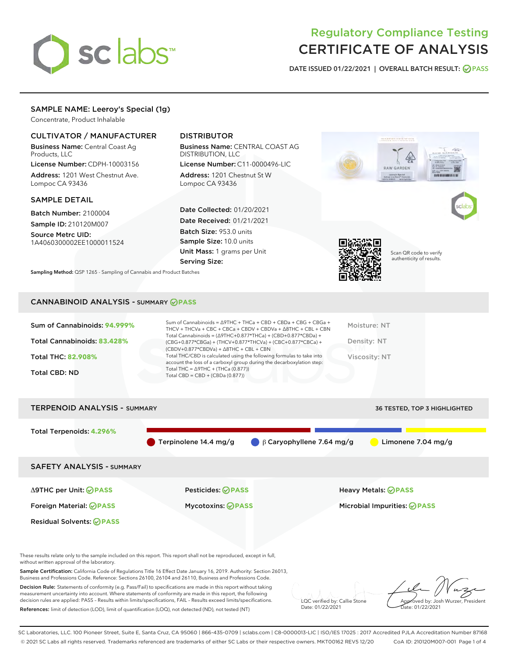

# Regulatory Compliance Testing CERTIFICATE OF ANALYSIS

DATE ISSUED 01/22/2021 | OVERALL BATCH RESULT: @ PASS

# SAMPLE NAME: Leeroy's Special (1g)

Concentrate, Product Inhalable

# CULTIVATOR / MANUFACTURER

Business Name: Central Coast Ag Products, LLC

License Number: CDPH-10003156 Address: 1201 West Chestnut Ave. Lompoc CA 93436

#### SAMPLE DETAIL

Batch Number: 2100004 Sample ID: 210120M007

Source Metrc UID: 1A4060300002EE1000011524

# DISTRIBUTOR

Business Name: CENTRAL COAST AG DISTRIBUTION, LLC

License Number: C11-0000496-LIC Address: 1201 Chestnut St W Lompoc CA 93436

Date Collected: 01/20/2021 Date Received: 01/21/2021 Batch Size: 953.0 units Sample Size: 10.0 units Unit Mass: 1 grams per Unit Serving Size:



Scan QR code to verify authenticity of results.

Sampling Method: QSP 1265 - Sampling of Cannabis and Product Batches

# CANNABINOID ANALYSIS - SUMMARY **PASS**

| Sum of Cannabinoids: 94.999% | Sum of Cannabinoids = $\triangle$ 9THC + THCa + CBD + CBDa + CBG + CBGa +<br>THCV + THCVa + CBC + CBCa + CBDV + CBDVa + $\Delta$ 8THC + CBL + CBN                                    | Moisture: NT  |
|------------------------------|--------------------------------------------------------------------------------------------------------------------------------------------------------------------------------------|---------------|
| Total Cannabinoids: 83.428%  | Total Cannabinoids = $(\Delta$ 9THC+0.877*THCa) + (CBD+0.877*CBDa) +<br>(CBG+0.877*CBGa) + (THCV+0.877*THCVa) + (CBC+0.877*CBCa) +<br>$(CBDV+0.877*CBDVa) + \Delta 8THC + CBL + CBN$ | Density: NT   |
| <b>Total THC: 82.908%</b>    | Total THC/CBD is calculated using the following formulas to take into<br>account the loss of a carboxyl group during the decarboxylation step:                                       | Viscosity: NT |
| Total CBD: ND                | Total THC = $\triangle$ 9THC + (THCa (0.877))<br>Total CBD = $CBD + (CBDa (0.877))$                                                                                                  |               |
|                              |                                                                                                                                                                                      |               |



These results relate only to the sample included on this report. This report shall not be reproduced, except in full, without written approval of the laboratory.

Sample Certification: California Code of Regulations Title 16 Effect Date January 16, 2019. Authority: Section 26013, Business and Professions Code. Reference: Sections 26100, 26104 and 26110, Business and Professions Code.

Decision Rule: Statements of conformity (e.g. Pass/Fail) to specifications are made in this report without taking measurement uncertainty into account. Where statements of conformity are made in this report, the following decision rules are applied: PASS – Results within limits/specifications, FAIL – Results exceed limits/specifications. References: limit of detection (LOD), limit of quantification (LOQ), not detected (ND), not tested (NT)

LQC verified by: Callie Stone Date: 01/22/2021

Aved by: Josh Wurzer, President ate: 01/22/2021

SC Laboratories, LLC. 100 Pioneer Street, Suite E, Santa Cruz, CA 95060 | 866-435-0709 | sclabs.com | C8-0000013-LIC | ISO/IES 17025 : 2017 Accredited PJLA Accreditation Number 87168 © 2021 SC Labs all rights reserved. Trademarks referenced are trademarks of either SC Labs or their respective owners. MKT00162 REV5 12/20 CoA ID: 210120M007-001 Page 1 of 4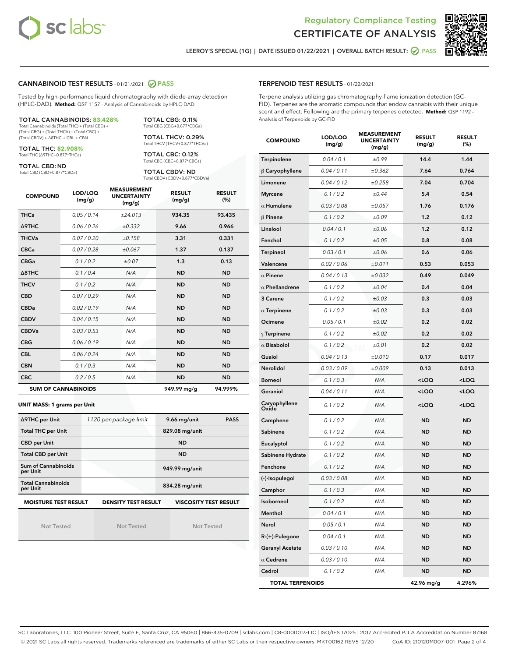



LEEROY'S SPECIAL (1G) | DATE ISSUED 01/22/2021 | OVERALL BATCH RESULT: **O PASS** 

### CANNABINOID TEST RESULTS - 01/21/2021 2 PASS

Tested by high-performance liquid chromatography with diode-array detection (HPLC-DAD). **Method:** QSP 1157 - Analysis of Cannabinoids by HPLC-DAD

#### TOTAL CANNABINOIDS: **83.428%**

Total Cannabinoids (Total THC) + (Total CBD) + (Total CBG) + (Total THCV) + (Total CBC) + (Total CBDV) + ∆8THC + CBL + CBN

TOTAL THC: **82.908%** Total THC (∆9THC+0.877\*THCa)

TOTAL CBD: ND

Total CBD (CBD+0.877\*CBDa)

TOTAL CBG: 0.11% Total CBG (CBG+0.877\*CBGa) TOTAL THCV: 0.29% Total THCV (THCV+0.877\*THCVa)

TOTAL CBC: 0.12% Total CBC (CBC+0.877\*CBCa)

TOTAL CBDV: ND Total CBDV (CBDV+0.877\*CBDVa)

| <b>COMPOUND</b>  | LOD/LOQ<br>(mg/g)          | <b>MEASUREMENT</b><br><b>UNCERTAINTY</b><br>(mg/g) | <b>RESULT</b><br>(mg/g) | <b>RESULT</b><br>(%) |
|------------------|----------------------------|----------------------------------------------------|-------------------------|----------------------|
| <b>THCa</b>      | 0.05/0.14                  | ±24.013                                            | 934.35                  | 93.435               |
| <b>A9THC</b>     | 0.06 / 0.26                | ±0.332                                             | 9.66                    | 0.966                |
| <b>THCVa</b>     | 0.07/0.20                  | ±0.158                                             | 3.31                    | 0.331                |
| <b>CBCa</b>      | 0.07/0.28                  | ±0.067                                             | 1.37                    | 0.137                |
| <b>CBGa</b>      | 0.1 / 0.2                  | ±0.07                                              | 1.3                     | 0.13                 |
| $\triangle$ 8THC | 0.1/0.4                    | N/A                                                | <b>ND</b>               | <b>ND</b>            |
| <b>THCV</b>      | 0.1 / 0.2                  | N/A                                                | <b>ND</b>               | <b>ND</b>            |
| <b>CBD</b>       | 0.07/0.29                  | N/A                                                | <b>ND</b>               | <b>ND</b>            |
| <b>CBDa</b>      | 0.02/0.19                  | N/A                                                | <b>ND</b>               | <b>ND</b>            |
| <b>CBDV</b>      | 0.04 / 0.15                | N/A                                                | <b>ND</b>               | <b>ND</b>            |
| <b>CBDVa</b>     | 0.03/0.53                  | N/A                                                | <b>ND</b>               | <b>ND</b>            |
| <b>CBG</b>       | 0.06/0.19                  | N/A                                                | <b>ND</b>               | <b>ND</b>            |
| <b>CBL</b>       | 0.06 / 0.24                | N/A                                                | <b>ND</b>               | <b>ND</b>            |
| <b>CBN</b>       | 0.1/0.3                    | N/A                                                | <b>ND</b>               | <b>ND</b>            |
| <b>CBC</b>       | 0.2 / 0.5                  | N/A                                                | <b>ND</b>               | <b>ND</b>            |
|                  | <b>SUM OF CANNABINOIDS</b> |                                                    | 949.99 mg/g             | 94.999%              |

#### **UNIT MASS: 1 grams per Unit**

| ∆9THC per Unit                                                                            | 1120 per-package limit | 9.66 mg/unit<br><b>PASS</b> |  |  |  |
|-------------------------------------------------------------------------------------------|------------------------|-----------------------------|--|--|--|
| <b>Total THC per Unit</b>                                                                 |                        | 829.08 mg/unit              |  |  |  |
| <b>CBD per Unit</b>                                                                       |                        | <b>ND</b>                   |  |  |  |
| <b>Total CBD per Unit</b>                                                                 |                        | <b>ND</b>                   |  |  |  |
| Sum of Cannabinoids<br>per Unit                                                           |                        | 949.99 mg/unit              |  |  |  |
| <b>Total Cannabinoids</b><br>per Unit                                                     |                        | 834.28 mg/unit              |  |  |  |
| <b>MOISTURE TEST RESULT</b><br><b>VISCOSITY TEST RESULT</b><br><b>DENSITY TEST RESULT</b> |                        |                             |  |  |  |

Not Tested

Not Tested

Not Tested

## TERPENOID TEST RESULTS - 01/22/2021

Terpene analysis utilizing gas chromatography-flame ionization detection (GC-FID). Terpenes are the aromatic compounds that endow cannabis with their unique scent and effect. Following are the primary terpenes detected. **Method:** QSP 1192 - Analysis of Terpenoids by GC-FID

| <b>COMPOUND</b>         | LOD/LOQ<br>(mg/g) | <b>MEASUREMENT</b><br><b>UNCERTAINTY</b><br>(mg/g) | <b>RESULT</b><br>(mg/g)                         | <b>RESULT</b><br>(%) |
|-------------------------|-------------------|----------------------------------------------------|-------------------------------------------------|----------------------|
| Terpinolene             | 0.04 / 0.1        | ±0.99                                              | 14.4                                            | 1.44                 |
| $\beta$ Caryophyllene   | 0.04 / 0.11       | ±0.362                                             | 7.64                                            | 0.764                |
| Limonene                | 0.04 / 0.12       | ±0.258                                             | 7.04                                            | 0.704                |
| <b>Myrcene</b>          | 0.1 / 0.2         | ±0.44                                              | 5.4                                             | 0.54                 |
| $\alpha$ Humulene       | 0.03 / 0.08       | ±0.057                                             | 1.76                                            | 0.176                |
| $\beta$ Pinene          | 0.1 / 0.2         | ±0.09                                              | 1.2                                             | 0.12                 |
| Linalool                | 0.04 / 0.1        | ±0.06                                              | 1.2                                             | 0.12                 |
| Fenchol                 | 0.1 / 0.2         | ±0.05                                              | 0.8                                             | 0.08                 |
| Terpineol               | 0.03/0.1          | ±0.06                                              | 0.6                                             | 0.06                 |
| Valencene               | 0.02 / 0.06       | ±0.011                                             | 0.53                                            | 0.053                |
| $\alpha$ Pinene         | 0.04 / 0.13       | ±0.032                                             | 0.49                                            | 0.049                |
| $\alpha$ Phellandrene   | 0.1 / 0.2         | ±0.04                                              | 0.4                                             | 0.04                 |
| 3 Carene                | 0.1 / 0.2         | ±0.03                                              | 0.3                                             | 0.03                 |
| $\alpha$ Terpinene      | 0.1 / 0.2         | ±0.03                                              | 0.3                                             | 0.03                 |
| Ocimene                 | 0.05 / 0.1        | ±0.02                                              | 0.2                                             | 0.02                 |
| $\gamma$ Terpinene      | 0.1 / 0.2         | ±0.02                                              | 0.2                                             | 0.02                 |
| $\alpha$ Bisabolol      | 0.1 / 0.2         | ±0.01                                              | 0.2                                             | 0.02                 |
| Guaiol                  | 0.04 / 0.13       | ±0.010                                             | 0.17                                            | 0.017                |
| <b>Nerolidol</b>        | 0.03 / 0.09       | ±0.009                                             | 0.13                                            | 0.013                |
| <b>Borneol</b>          | 0.1 / 0.3         | N/A                                                | 100                                             | <loq< td=""></loq<>  |
| Geraniol                | 0.04 / 0.11       | N/A                                                | <loq< td=""><td><loq< td=""></loq<></td></loq<> | <loq< td=""></loq<>  |
| Caryophyllene<br>Oxide  | 0.1 / 0.2         | N/A                                                | <loq< td=""><td><loq< td=""></loq<></td></loq<> | <loq< td=""></loq<>  |
| Camphene                | 0.1 / 0.2         | N/A                                                | <b>ND</b>                                       | <b>ND</b>            |
| Sabinene                | 0.1 / 0.2         | N/A                                                | <b>ND</b>                                       | <b>ND</b>            |
| Eucalyptol              | 0.1 / 0.2         | N/A                                                | ND                                              | <b>ND</b>            |
| Sabinene Hydrate        | 0.1 / 0.2         | N/A                                                | <b>ND</b>                                       | <b>ND</b>            |
| Fenchone                | 0.1 / 0.2         | N/A                                                | ND                                              | <b>ND</b>            |
| (-)-Isopulegol          | 0.03 / 0.08       | N/A                                                | ND                                              | ND                   |
| Camphor                 | 0.1 / 0.3         | N/A                                                | <b>ND</b>                                       | <b>ND</b>            |
| Isoborneol              | 0.1/0.2           | N/A                                                | <b>ND</b>                                       | <b>ND</b>            |
| Menthol                 | 0.04 / 0.1        | N/A                                                | ND                                              | ND                   |
| Nerol                   | 0.05 / 0.1        | N/A                                                | <b>ND</b>                                       | ND                   |
| R-(+)-Pulegone          | 0.04 / 0.1        | N/A                                                | ND                                              | ND                   |
| <b>Geranyl Acetate</b>  | 0.03 / 0.10       | N/A                                                | ND                                              | ND                   |
| $\alpha$ Cedrene        | 0.03 / 0.10       | N/A                                                | ND                                              | ND                   |
| Cedrol                  | 0.1 / 0.2         | N/A                                                | ND                                              | ND                   |
| <b>TOTAL TERPENOIDS</b> |                   |                                                    | 42.96 mg/g                                      | 4.296%               |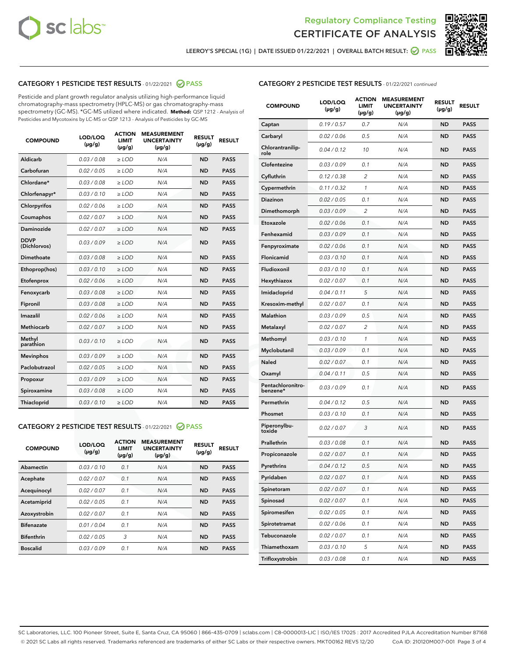



LEEROY'S SPECIAL (1G) | DATE ISSUED 01/22/2021 | OVERALL BATCH RESULT: @ PASS

# CATEGORY 1 PESTICIDE TEST RESULTS - 01/22/2021 2 PASS

Pesticide and plant growth regulator analysis utilizing high-performance liquid chromatography-mass spectrometry (HPLC-MS) or gas chromatography-mass spectrometry (GC-MS). \*GC-MS utilized where indicated. **Method:** QSP 1212 - Analysis of Pesticides and Mycotoxins by LC-MS or QSP 1213 - Analysis of Pesticides by GC-MS

| <b>COMPOUND</b>             | LOD/LOQ<br>$(\mu g/g)$ | <b>ACTION</b><br><b>LIMIT</b><br>$(\mu q/q)$ | <b>MEASUREMENT</b><br><b>UNCERTAINTY</b><br>$(\mu g/g)$ | <b>RESULT</b><br>$(\mu g/g)$ | <b>RESULT</b> |
|-----------------------------|------------------------|----------------------------------------------|---------------------------------------------------------|------------------------------|---------------|
| Aldicarb                    | 0.03 / 0.08            | $\ge$ LOD                                    | N/A                                                     | <b>ND</b>                    | <b>PASS</b>   |
| Carbofuran                  | 0.02/0.05              | $>$ LOD                                      | N/A                                                     | <b>ND</b>                    | <b>PASS</b>   |
| Chlordane*                  | 0.03 / 0.08            | $\ge$ LOD                                    | N/A                                                     | <b>ND</b>                    | <b>PASS</b>   |
| Chlorfenapyr*               | 0.03/0.10              | $\ge$ LOD                                    | N/A                                                     | <b>ND</b>                    | <b>PASS</b>   |
| Chlorpyrifos                | 0.02 / 0.06            | $\ge$ LOD                                    | N/A                                                     | <b>ND</b>                    | <b>PASS</b>   |
| Coumaphos                   | 0.02 / 0.07            | $>$ LOD                                      | N/A                                                     | <b>ND</b>                    | <b>PASS</b>   |
| <b>Daminozide</b>           | 0.02 / 0.07            | $\ge$ LOD                                    | N/A                                                     | <b>ND</b>                    | <b>PASS</b>   |
| <b>DDVP</b><br>(Dichlorvos) | 0.03/0.09              | $\ge$ LOD                                    | N/A                                                     | <b>ND</b>                    | <b>PASS</b>   |
| <b>Dimethoate</b>           | 0.03 / 0.08            | $\ge$ LOD                                    | N/A                                                     | <b>ND</b>                    | <b>PASS</b>   |
| Ethoprop(hos)               | 0.03/0.10              | $\ge$ LOD                                    | N/A                                                     | <b>ND</b>                    | <b>PASS</b>   |
| Etofenprox                  | 0.02 / 0.06            | $\ge$ LOD                                    | N/A                                                     | <b>ND</b>                    | <b>PASS</b>   |
| Fenoxycarb                  | 0.03 / 0.08            | $\ge$ LOD                                    | N/A                                                     | <b>ND</b>                    | <b>PASS</b>   |
| Fipronil                    | 0.03/0.08              | $>$ LOD                                      | N/A                                                     | <b>ND</b>                    | <b>PASS</b>   |
| Imazalil                    | 0.02 / 0.06            | $\ge$ LOD                                    | N/A                                                     | <b>ND</b>                    | <b>PASS</b>   |
| Methiocarb                  | 0.02 / 0.07            | $\ge$ LOD                                    | N/A                                                     | <b>ND</b>                    | <b>PASS</b>   |
| Methyl<br>parathion         | 0.03/0.10              | $>$ LOD                                      | N/A                                                     | <b>ND</b>                    | <b>PASS</b>   |
| <b>Mevinphos</b>            | 0.03/0.09              | $>$ LOD                                      | N/A                                                     | <b>ND</b>                    | <b>PASS</b>   |
| Paclobutrazol               | 0.02 / 0.05            | $\ge$ LOD                                    | N/A                                                     | <b>ND</b>                    | <b>PASS</b>   |
| Propoxur                    | 0.03/0.09              | $\ge$ LOD                                    | N/A                                                     | <b>ND</b>                    | <b>PASS</b>   |
| Spiroxamine                 | 0.03 / 0.08            | $\ge$ LOD                                    | N/A                                                     | <b>ND</b>                    | <b>PASS</b>   |
| <b>Thiacloprid</b>          | 0.03/0.10              | $\ge$ LOD                                    | N/A                                                     | <b>ND</b>                    | <b>PASS</b>   |

#### CATEGORY 2 PESTICIDE TEST RESULTS - 01/22/2021 @ PASS

| <b>COMPOUND</b>   | LOD/LOQ<br>$(\mu g/g)$ | <b>ACTION</b><br><b>LIMIT</b><br>$(\mu g/g)$ | <b>MEASUREMENT</b><br><b>UNCERTAINTY</b><br>$(\mu g/g)$ | <b>RESULT</b><br>$(\mu g/g)$ | <b>RESULT</b> |
|-------------------|------------------------|----------------------------------------------|---------------------------------------------------------|------------------------------|---------------|
| Abamectin         | 0.03/0.10              | 0.1                                          | N/A                                                     | <b>ND</b>                    | <b>PASS</b>   |
| Acephate          | 0.02/0.07              | 0.1                                          | N/A                                                     | <b>ND</b>                    | <b>PASS</b>   |
| Acequinocyl       | 0.02/0.07              | 0.1                                          | N/A                                                     | <b>ND</b>                    | <b>PASS</b>   |
| Acetamiprid       | 0.02/0.05              | 0.1                                          | N/A                                                     | <b>ND</b>                    | <b>PASS</b>   |
| Azoxystrobin      | 0.02/0.07              | 0.1                                          | N/A                                                     | <b>ND</b>                    | <b>PASS</b>   |
| <b>Bifenazate</b> | 0.01/0.04              | 0.1                                          | N/A                                                     | <b>ND</b>                    | <b>PASS</b>   |
| <b>Bifenthrin</b> | 0.02/0.05              | 3                                            | N/A                                                     | <b>ND</b>                    | <b>PASS</b>   |
| <b>Boscalid</b>   | 0.03/0.09              | 0.1                                          | N/A                                                     | <b>ND</b>                    | <b>PASS</b>   |

|--|

| <b>COMPOUND</b>               | LOD/LOQ<br>(µg/g) | <b>ACTION</b><br>LIMIT<br>(µg/g) | <b>MEASUREMENT</b><br><b>UNCERTAINTY</b><br>(µg/g) | <b>RESULT</b><br>(µg/g) | <b>RESULT</b> |
|-------------------------------|-------------------|----------------------------------|----------------------------------------------------|-------------------------|---------------|
| Captan                        | 0.19 / 0.57       | 0.7                              | N/A                                                | <b>ND</b>               | <b>PASS</b>   |
| Carbaryl                      | 0.02 / 0.06       | 0.5                              | N/A                                                | <b>ND</b>               | <b>PASS</b>   |
| Chlorantranilip-<br>role      | 0.04 / 0.12       | 10                               | N/A                                                | ND                      | <b>PASS</b>   |
| Clofentezine                  | 0.03 / 0.09       | 0.1                              | N/A                                                | ND                      | <b>PASS</b>   |
| Cyfluthrin                    | 0.12 / 0.38       | $\overline{c}$                   | N/A                                                | ND                      | <b>PASS</b>   |
| Cypermethrin                  | 0.11 / 0.32       | 1                                | N/A                                                | ND                      | <b>PASS</b>   |
| Diazinon                      | 0.02 / 0.05       | 0.1                              | N/A                                                | ND                      | <b>PASS</b>   |
| Dimethomorph                  | 0.03 / 0.09       | $\overline{2}$                   | N/A                                                | ND                      | PASS          |
| Etoxazole                     | 0.02 / 0.06       | 0.1                              | N/A                                                | ND                      | <b>PASS</b>   |
| Fenhexamid                    | 0.03 / 0.09       | 0.1                              | N/A                                                | ND                      | <b>PASS</b>   |
| Fenpyroximate                 | 0.02 / 0.06       | 0.1                              | N/A                                                | ND                      | PASS          |
| Flonicamid                    | 0.03 / 0.10       | 0.1                              | N/A                                                | ND                      | <b>PASS</b>   |
| Fludioxonil                   | 0.03/0.10         | 0.1                              | N/A                                                | ND                      | <b>PASS</b>   |
| Hexythiazox                   | 0.02 / 0.07       | 0.1                              | N/A                                                | ND                      | PASS          |
| Imidacloprid                  | 0.04 / 0.11       | 5                                | N/A                                                | ND                      | <b>PASS</b>   |
| Kresoxim-methyl               | 0.02 / 0.07       | 0.1                              | N/A                                                | ND                      | <b>PASS</b>   |
| <b>Malathion</b>              | 0.03 / 0.09       | 0.5                              | N/A                                                | ND                      | PASS          |
| Metalaxyl                     | 0.02 / 0.07       | 2                                | N/A                                                | ND                      | <b>PASS</b>   |
| Methomyl                      | 0.03 / 0.10       | 1                                | N/A                                                | ND                      | <b>PASS</b>   |
| Myclobutanil                  | 0.03 / 0.09       | 0.1                              | N/A                                                | ND                      | PASS          |
| Naled                         | 0.02 / 0.07       | 0.1                              | N/A                                                | ND                      | <b>PASS</b>   |
| Oxamyl                        | 0.04 / 0.11       | 0.5                              | N/A                                                | ND                      | PASS          |
| Pentachloronitro-<br>benzene* | 0.03 / 0.09       | 0.1                              | N/A                                                | ND                      | PASS          |
| Permethrin                    | 0.04 / 0.12       | 0.5                              | N/A                                                | ND                      | PASS          |
| Phosmet                       | 0.03 / 0.10       | 0.1                              | N/A                                                | ND                      | PASS          |
| Piperonylbu-<br>toxide        | 0.02 / 0.07       | 3                                | N/A                                                | ND                      | PASS          |
| Prallethrin                   | 0.03 / 0.08       | 0.1                              | N/A                                                | ND                      | <b>PASS</b>   |
| Propiconazole                 | 0.02 / 0.07       | 0.1                              | N/A                                                | ND                      | <b>PASS</b>   |
| Pyrethrins                    | 0.04 / 0.12       | 0.5                              | N/A                                                | ND,                     | PASS          |
| Pyridaben                     | 0.02 / 0.07       | 0.1                              | N/A                                                | ND                      | PASS          |
| Spinetoram                    | 0.02 / 0.07       | 0.1                              | N/A                                                | ND                      | <b>PASS</b>   |
| Spinosad                      | 0.02 / 0.07       | 0.1                              | N/A                                                | ND                      | <b>PASS</b>   |
| Spiromesifen                  | 0.02 / 0.05       | 0.1                              | N/A                                                | ND                      | <b>PASS</b>   |
| Spirotetramat                 | 0.02 / 0.06       | 0.1                              | N/A                                                | ND                      | <b>PASS</b>   |
| Tebuconazole                  | 0.02 / 0.07       | 0.1                              | N/A                                                | ND                      | <b>PASS</b>   |
| Thiamethoxam                  | 0.03 / 0.10       | 5                                | N/A                                                | ND                      | <b>PASS</b>   |
| Trifloxystrobin               | 0.03 / 0.08       | 0.1                              | N/A                                                | ND                      | <b>PASS</b>   |

SC Laboratories, LLC. 100 Pioneer Street, Suite E, Santa Cruz, CA 95060 | 866-435-0709 | sclabs.com | C8-0000013-LIC | ISO/IES 17025 : 2017 Accredited PJLA Accreditation Number 87168 © 2021 SC Labs all rights reserved. Trademarks referenced are trademarks of either SC Labs or their respective owners. MKT00162 REV5 12/20 CoA ID: 210120M007-001 Page 3 of 4